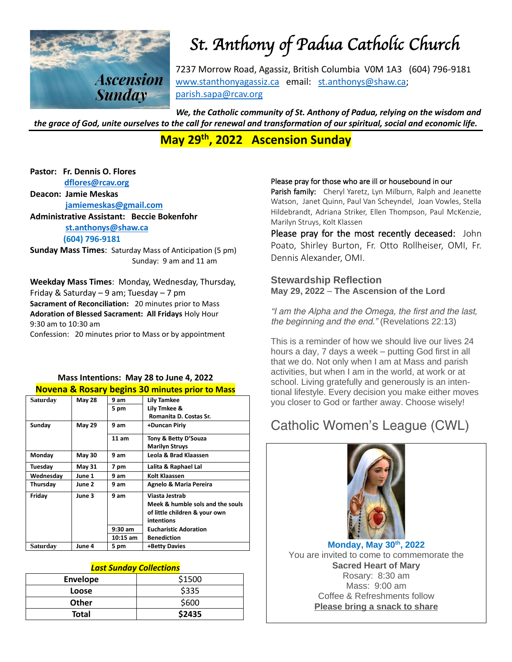

# *St. Anthony of Padua Catholic Church*

7237 Morrow Road, Agassiz, British Columbia V0M 1A3 (604) 796-9181 [www.stanthonyagassiz.ca](http://www.stanthonyagassiz.ca/) email: [st.anthonys@shaw.ca;](mailto:st.anthonys@shaw.ca) [parish.sapa@rcav.org](mailto:parish.sapa@rcav.org) 

*We, the Catholic community of St. Anthony of Padua, relying on the wisdom and the grace of God, unite ourselves to the call for renewal and transformation of our spiritual, social and economic life.*

**May 29th , 2022 Ascension Sunday**

**Pastor: Fr. Dennis O. Flores [dflores@rcav.org](mailto:dflores@rcav.org)**

**Deacon: Jamie Meskas [jamiemeskas@gmail.com](mailto:jamiemeskas@gmail.com)**

**Administrative Assistant: Beccie Bokenfohr [st.anthonys@shaw.ca](mailto:st.anthonys@shaw.ca) (604) 796-9181**

**Sunday Mass Times**: Saturday Mass of Anticipation (5 pm) Sunday: 9 am and 11 am

**Weekday Mass Times**: Monday, Wednesday, Thursday, Friday & Saturday – 9 am; Tuesday – 7 pm

**Sacrament of Reconciliation:** 20 minutes prior to Mass **Adoration of Blessed Sacrament: All Fridays** Holy Hour 9:30 am to 10:30 am

Confession: 20 minutes prior to Mass or by appointment

### **Mass Intentions: May 28 to June 4, 2022 Novena & Rosary begins 30 minutes prior to Mass**

| Saturday        | <b>May 28</b> | 9 am       | <b>Lily Tamkee</b>               |
|-----------------|---------------|------------|----------------------------------|
|                 |               | 5 pm       | Lily Tmkee &                     |
|                 |               |            | Romanita D. Costas Sr.           |
| Sunday          | <b>May 29</b> | 9 am       | +Duncan Piriy                    |
|                 |               | 11 am      | Tony & Betty D'Souza             |
|                 |               |            | <b>Marilyn Struys</b>            |
| Monday          | <b>May 30</b> | 9 am       | Leola & Brad Klaassen            |
| Tuesday         | <b>May 31</b> | 7 pm       | Lalita & Raphael Lal             |
| Wednesday       | June 1        | 9 am       | Kolt Klaassen                    |
| Thursdav        | June 2        | 9 am       | Agnelo & Maria Pereira           |
| Friday          | June 3        | 9 am       | Viasta Jestrab                   |
|                 |               |            | Meek & humble sols and the souls |
|                 |               |            | of little children & your own    |
|                 |               |            | intentions                       |
|                 |               | $9:30$ am  | <b>Eucharistic Adoration</b>     |
|                 |               | $10:15$ am | <b>Benediction</b>               |
| <b>Saturday</b> | June 4        | 5 pm       | +Betty Davies                    |

#### *Last Sunday Collections*

| <b>Envelope</b> | \$1500 |
|-----------------|--------|
| Loose           | \$335  |
| <b>Other</b>    | \$600  |
| <b>Total</b>    | \$2435 |

#### Please pray for those who are ill or housebound in our

Parish family: Cheryl Yaretz, Lyn Milburn, Ralph and Jeanette Watson, Janet Quinn, Paul Van Scheyndel, Joan Vowles, Stella Hildebrandt, Adriana Striker, Ellen Thompson, Paul McKenzie, Marilyn Struys, Kolt Klassen

Please pray for the most recently deceased: John Poato, Shirley Burton, Fr. Otto Rollheiser, OMI, Fr. Dennis Alexander, OMI.

### **Stewardship Reflection May 29, 2022** – **The Ascension of the Lord**

*"I am the Alpha and the Omega, the first and the last, the beginning and the end." (Revelations 22:13)*

This is a reminder of how we should live our lives 24 hours a day, 7 days a week – putting God first in all that we do. Not only when I am at Mass and parish activities, but when I am in the world, at work or at school. Living gratefully and generously is an intentional lifestyle. Every decision you make either moves you closer to God or farther away. Choose wisely!

# Catholic Women's League (CWL)



**Monday, May 30th, 2022** *You are invited to come to commemorate the Sacred Heart of Mary*  Rosary: 8:30 am Mass: 9:00 am Coffee & Refreshments follow *Please bring a snack to share*